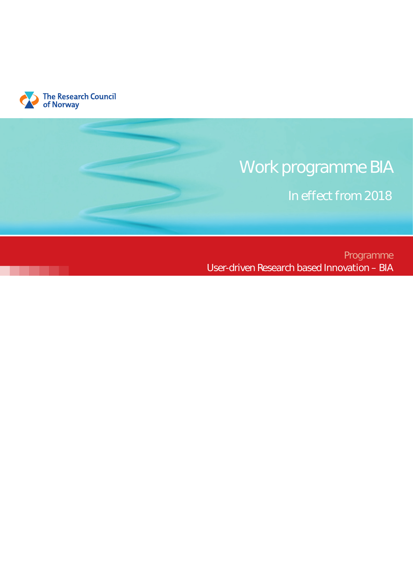

# Work programme BIA

In effect from 2018

Programme User-driven Research based Innovation – BIA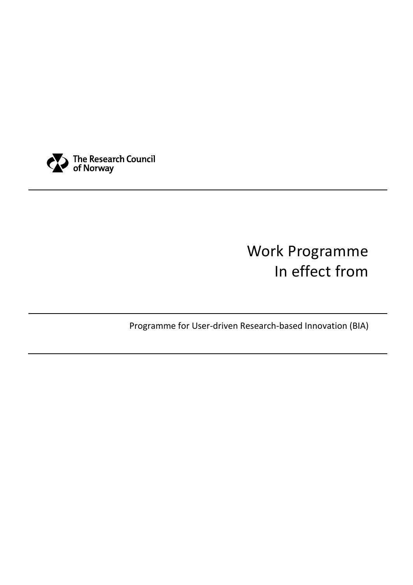

# Work Programme In effect from

Programme for User-driven Research-based Innovation (BIA)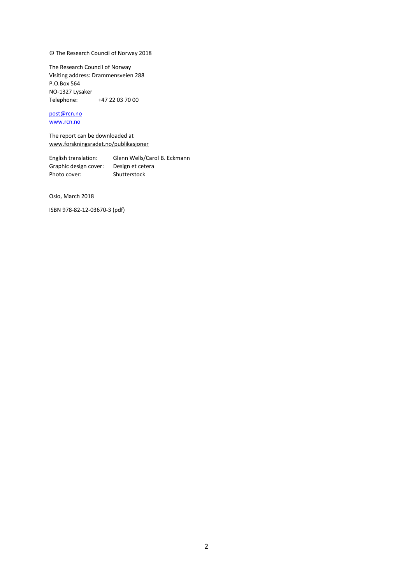© The Research Council of Norway 2018

The Research Council of Norway Visiting address: Drammensveien 288 P.O.Box 564 NO-1327 Lysaker Telephone: +47 22 03 70 00

### [post@rcn.no](mailto:post@rcn.no)

[www.rcn.no](http://www.rcn.no/)

The report can be downloaded at [www.forskningsradet.no/publikasjoner](http://www.forskningsradet.no/publikasjoner)

English translation: Glenn Wells/Carol B. Eckmann Graphic design cover: Design et cetera Photo cover: Shutterstock

Oslo, March 2018

ISBN 978-82-12-03670-3 (pdf)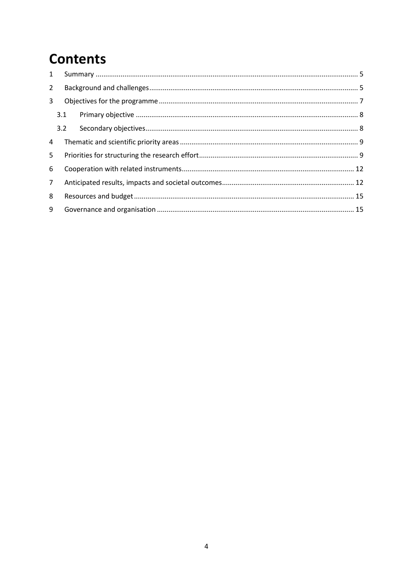### **Contents**

| $\mathbf{1}$   |     |  |  |  |  |  |  |
|----------------|-----|--|--|--|--|--|--|
| $\overline{2}$ |     |  |  |  |  |  |  |
| 3              |     |  |  |  |  |  |  |
|                | 3.1 |  |  |  |  |  |  |
|                | 3.2 |  |  |  |  |  |  |
| 4              |     |  |  |  |  |  |  |
| 5              |     |  |  |  |  |  |  |
| 6              |     |  |  |  |  |  |  |
| 7 <sup>1</sup> |     |  |  |  |  |  |  |
| 8              |     |  |  |  |  |  |  |
| 9              |     |  |  |  |  |  |  |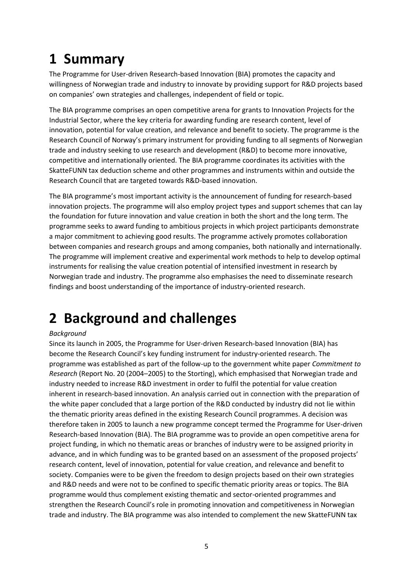## <span id="page-5-0"></span>**1 Summary**

The Programme for User-driven Research-based Innovation (BIA) promotes the capacity and willingness of Norwegian trade and industry to innovate by providing support for R&D projects based on companies' own strategies and challenges, independent of field or topic.

The BIA programme comprises an open competitive arena for grants to Innovation Projects for the Industrial Sector, where the key criteria for awarding funding are research content, level of innovation, potential for value creation, and relevance and benefit to society. The programme is the Research Council of Norway's primary instrument for providing funding to all segments of Norwegian trade and industry seeking to use research and development (R&D) to become more innovative, competitive and internationally oriented. The BIA programme coordinates its activities with the SkatteFUNN tax deduction scheme and other programmes and instruments within and outside the Research Council that are targeted towards R&D-based innovation.

The BIA programme's most important activity is the announcement of funding for research-based innovation projects. The programme will also employ project types and support schemes that can lay the foundation for future innovation and value creation in both the short and the long term. The programme seeks to award funding to ambitious projects in which project participants demonstrate a major commitment to achieving good results. The programme actively promotes collaboration between companies and research groups and among companies, both nationally and internationally. The programme will implement creative and experimental work methods to help to develop optimal instruments for realising the value creation potential of intensified investment in research by Norwegian trade and industry. The programme also emphasises the need to disseminate research findings and boost understanding of the importance of industry-oriented research.

## <span id="page-5-1"></span>**2 Background and challenges**

#### *Background*

Since its launch in 2005, the Programme for User-driven Research-based Innovation (BIA) has become the Research Council's key funding instrument for industry-oriented research. The programme was established as part of the follow-up to the government white paper *Commitment to Research* (Report No. 20 (2004–2005) to the Storting), which emphasised that Norwegian trade and industry needed to increase R&D investment in order to fulfil the potential for value creation inherent in research-based innovation. An analysis carried out in connection with the preparation of the white paper concluded that a large portion of the R&D conducted by industry did not lie within the thematic priority areas defined in the existing Research Council programmes. A decision was therefore taken in 2005 to launch a new programme concept termed the Programme for User-driven Research-based Innovation (BIA). The BIA programme was to provide an open competitive arena for project funding, in which no thematic areas or branches of industry were to be assigned priority in advance, and in which funding was to be granted based on an assessment of the proposed projects' research content, level of innovation, potential for value creation, and relevance and benefit to society. Companies were to be given the freedom to design projects based on their own strategies and R&D needs and were not to be confined to specific thematic priority areas or topics. The BIA programme would thus complement existing thematic and sector-oriented programmes and strengthen the Research Council's role in promoting innovation and competitiveness in Norwegian trade and industry. The BIA programme was also intended to complement the new SkatteFUNN tax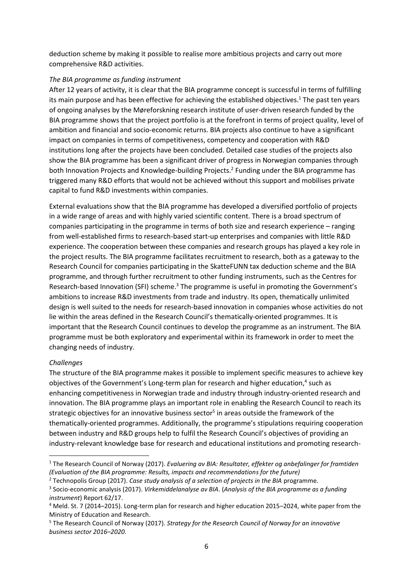deduction scheme by making it possible to realise more ambitious projects and carry out more comprehensive R&D activities.

#### *The BIA programme as funding instrument*

After 12 years of activity, it is clear that the BIA programme concept is successful in terms of fulfilling its main purpose and has been effective for achieving the established objectives. <sup>1</sup> The past ten years of ongoing analyses by the Møreforskning research institute of user-driven research funded by the BIA programme shows that the project portfolio is at the forefront in terms of project quality, level of ambition and financial and socio-economic returns. BIA projects also continue to have a significant impact on companies in terms of competitiveness, competency and cooperation with R&D institutions long after the projects have been concluded. Detailed case studies of the projects also show the BIA programme has been a significant driver of progress in Norwegian companies through both Innovation Projects and Knowledge-building Projects.<sup>2</sup> Funding under the BIA programme has triggered many R&D efforts that would not be achieved without this support and mobilises private capital to fund R&D investments within companies.

External evaluations show that the BIA programme has developed a diversified portfolio of projects in a wide range of areas and with highly varied scientific content. There is a broad spectrum of companies participating in the programme in terms of both size and research experience – ranging from well-established firms to research-based start-up enterprises and companies with little R&D experience. The cooperation between these companies and research groups has played a key role in the project results. The BIA programme facilitates recruitment to research, both as a gateway to the Research Council for companies participating in the SkatteFUNN tax deduction scheme and the BIA programme, and through further recruitment to other funding instruments, such as the Centres for Research-based Innovation (SFI) scheme.<sup>3</sup> The programme is useful in promoting the Government's ambitions to increase R&D investments from trade and industry. Its open, thematically unlimited design is well suited to the needs for research-based innovation in companies whose activities do not lie within the areas defined in the Research Council's thematically-oriented programmes. It is important that the Research Council continues to develop the programme as an instrument. The BIA programme must be both exploratory and experimental within its framework in order to meet the changing needs of industry.

#### *Challenges*

 $\overline{a}$ 

The structure of the BIA programme makes it possible to implement specific measures to achieve key objectives of the Government's Long-term plan for research and higher education,<sup>4</sup> such as enhancing competitiveness in Norwegian trade and industry through industry-oriented research and innovation. The BIA programme plays an important role in enabling the Research Council to reach its strategic objectives for an innovative business sector<sup>5</sup> in areas outside the framework of the thematically-oriented programmes. Additionally, the programme's stipulations requiring cooperation between industry and R&D groups help to fulfil the Research Council's objectives of providing an industry-relevant knowledge base for research and educational institutions and promoting research-

<sup>1</sup> The Research Council of Norway (2017). *Evaluering av BIA: Resultater, effekter og anbefalinger for framtiden (Evaluation of the BIA programme: Results, impacts and recommendations for the future)*

<sup>2</sup> Technopolis Group (2017). *Case study analysis of a selection of projects in the BIA* programme.

<sup>3</sup> Socio-economic analysis (2017). *Virkemiddelanalyse av BIA*. (*Analysis of the BIA programme as a funding instrument*) Report 62/17.

<sup>4</sup> Meld. St. 7 (2014–2015). Long-term plan for research and higher education 2015–2024, white paper from the Ministry of Education and Research.

<sup>5</sup> The Research Council of Norway (2017). *Strategy for the Research Council of Norway for an innovative business sector 2016–2020*.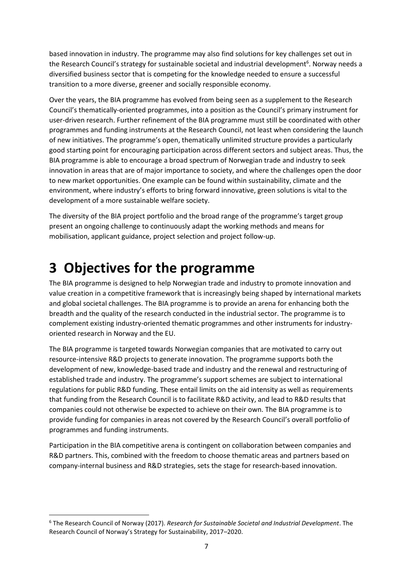based innovation in industry. The programme may also find solutions for key challenges set out in the Research Council's strategy for sustainable societal and industrial development<sup>6</sup>. Norway needs a diversified business sector that is competing for the knowledge needed to ensure a successful transition to a more diverse, greener and socially responsible economy.

Over the years, the BIA programme has evolved from being seen as a supplement to the Research Council's thematically-oriented programmes, into a position as the Council's primary instrument for user-driven research. Further refinement of the BIA programme must still be coordinated with other programmes and funding instruments at the Research Council, not least when considering the launch of new initiatives. The programme's open, thematically unlimited structure provides a particularly good starting point for encouraging participation across different sectors and subject areas. Thus, the BIA programme is able to encourage a broad spectrum of Norwegian trade and industry to seek innovation in areas that are of major importance to society, and where the challenges open the door to new market opportunities. One example can be found within sustainability, climate and the environment, where industry's efforts to bring forward innovative, green solutions is vital to the development of a more sustainable welfare society.

The diversity of the BIA project portfolio and the broad range of the programme's target group present an ongoing challenge to continuously adapt the working methods and means for mobilisation, applicant guidance, project selection and project follow-up.

### <span id="page-7-0"></span>**3 Objectives for the programme**

 $\overline{\phantom{a}}$ 

The BIA programme is designed to help Norwegian trade and industry to promote innovation and value creation in a competitive framework that is increasingly being shaped by international markets and global societal challenges. The BIA programme is to provide an arena for enhancing both the breadth and the quality of the research conducted in the industrial sector. The programme is to complement existing industry-oriented thematic programmes and other instruments for industryoriented research in Norway and the EU.

The BIA programme is targeted towards Norwegian companies that are motivated to carry out resource-intensive R&D projects to generate innovation. The programme supports both the development of new, knowledge-based trade and industry and the renewal and restructuring of established trade and industry. The programme's support schemes are subject to international regulations for public R&D funding. These entail limits on the aid intensity as well as requirements that funding from the Research Council is to facilitate R&D activity, and lead to R&D results that companies could not otherwise be expected to achieve on their own. The BIA programme is to provide funding for companies in areas not covered by the Research Council's overall portfolio of programmes and funding instruments.

Participation in the BIA competitive arena is contingent on collaboration between companies and R&D partners. This, combined with the freedom to choose thematic areas and partners based on company-internal business and R&D strategies, sets the stage for research-based innovation.

<sup>6</sup> The Research Council of Norway (2017). *Research for Sustainable Societal and Industrial Development*. The Research Council of Norway's Strategy for Sustainability, 2017–2020.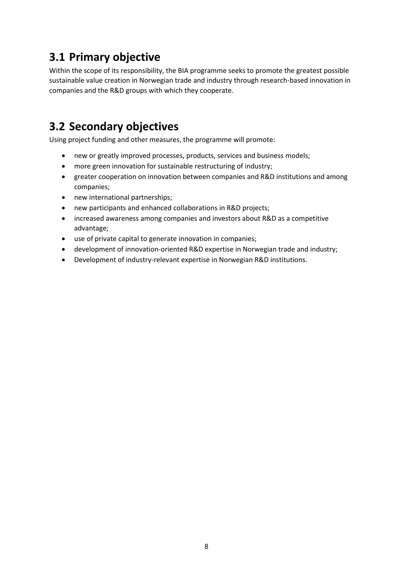### <span id="page-8-0"></span>**3.1 Primary objective**

Within the scope of its responsibility, the BIA programme seeks to promote the greatest possible sustainable value creation in Norwegian trade and industry through research-based innovation in companies and the R&D groups with which they cooperate.

### <span id="page-8-1"></span>**3.2 Secondary objectives**

Using project funding and other measures, the programme will promote:

- new or greatly improved processes, products, services and business models;
- more green innovation for sustainable restructuring of industry;
- greater cooperation on innovation between companies and R&D institutions and among companies;
- new international partnerships;
- new participants and enhanced collaborations in R&D projects;
- increased awareness among companies and investors about R&D as a competitive advantage;
- use of private capital to generate innovation in companies;
- development of innovation-oriented R&D expertise in Norwegian trade and industry;
- Development of industry-relevant expertise in Norwegian R&D institutions.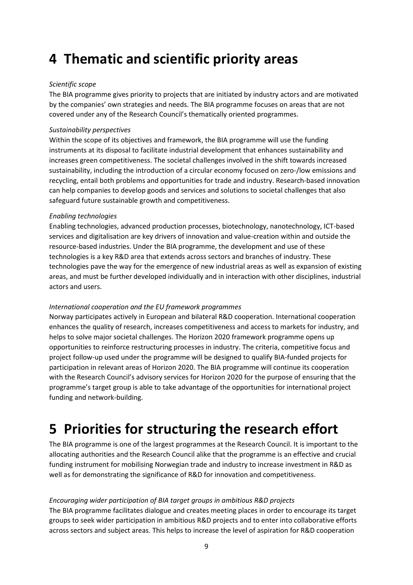### <span id="page-9-0"></span>**4 Thematic and scientific priority areas**

#### *Scientific scope*

The BIA programme gives priority to projects that are initiated by industry actors and are motivated by the companies' own strategies and needs. The BIA programme focuses on areas that are not covered under any of the Research Council's thematically oriented programmes.

#### *Sustainability perspectives*

Within the scope of its objectives and framework, the BIA programme will use the funding instruments at its disposal to facilitate industrial development that enhances sustainability and increases green competitiveness. The societal challenges involved in the shift towards increased sustainability, including the introduction of a circular economy focused on zero-/low emissions and recycling, entail both problems and opportunities for trade and industry. Research-based innovation can help companies to develop goods and services and solutions to societal challenges that also safeguard future sustainable growth and competitiveness.

#### *Enabling technologies*

Enabling technologies, advanced production processes, biotechnology, nanotechnology, ICT-based services and digitalisation are key drivers of innovation and value-creation within and outside the resource-based industries. Under the BIA programme, the development and use of these technologies is a key R&D area that extends across sectors and branches of industry. These technologies pave the way for the emergence of new industrial areas as well as expansion of existing areas, and must be further developed individually and in interaction with other disciplines, industrial actors and users.

#### *International cooperation and the EU framework programmes*

Norway participates actively in European and bilateral R&D cooperation. International cooperation enhances the quality of research, increases competitiveness and access to markets for industry, and helps to solve major societal challenges. The Horizon 2020 framework programme opens up opportunities to reinforce restructuring processes in industry. The criteria, competitive focus and project follow-up used under the programme will be designed to qualify BIA-funded projects for participation in relevant areas of Horizon 2020. The BIA programme will continue its cooperation with the Research Council's advisory services for Horizon 2020 for the purpose of ensuring that the programme's target group is able to take advantage of the opportunities for international project funding and network-building.

### <span id="page-9-1"></span>**5 Priorities for structuring the research effort**

The BIA programme is one of the largest programmes at the Research Council. It is important to the allocating authorities and the Research Council alike that the programme is an effective and crucial funding instrument for mobilising Norwegian trade and industry to increase investment in R&D as well as for demonstrating the significance of R&D for innovation and competitiveness.

#### *Encouraging wider participation of BIA target groups in ambitious R&D projects*

The BIA programme facilitates dialogue and creates meeting places in order to encourage its target groups to seek wider participation in ambitious R&D projects and to enter into collaborative efforts across sectors and subject areas. This helps to increase the level of aspiration for R&D cooperation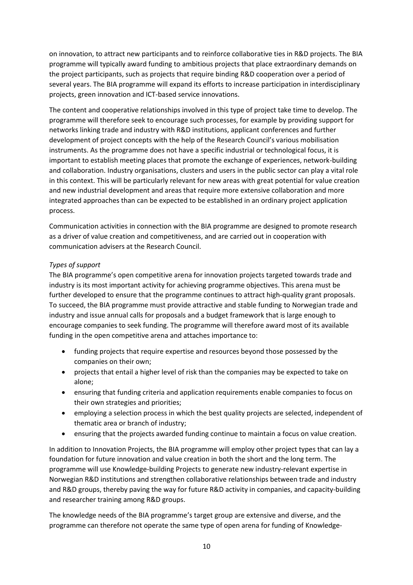on innovation, to attract new participants and to reinforce collaborative ties in R&D projects. The BIA programme will typically award funding to ambitious projects that place extraordinary demands on the project participants, such as projects that require binding R&D cooperation over a period of several years. The BIA programme will expand its efforts to increase participation in interdisciplinary projects, green innovation and ICT-based service innovations.

The content and cooperative relationships involved in this type of project take time to develop. The programme will therefore seek to encourage such processes, for example by providing support for networks linking trade and industry with R&D institutions, applicant conferences and further development of project concepts with the help of the Research Council's various mobilisation instruments. As the programme does not have a specific industrial or technological focus, it is important to establish meeting places that promote the exchange of experiences, network-building and collaboration. Industry organisations, clusters and users in the public sector can play a vital role in this context. This will be particularly relevant for new areas with great potential for value creation and new industrial development and areas that require more extensive collaboration and more integrated approaches than can be expected to be established in an ordinary project application process.

Communication activities in connection with the BIA programme are designed to promote research as a driver of value creation and competitiveness, and are carried out in cooperation with communication advisers at the Research Council.

#### *Types of support*

The BIA programme's open competitive arena for innovation projects targeted towards trade and industry is its most important activity for achieving programme objectives. This arena must be further developed to ensure that the programme continues to attract high-quality grant proposals. To succeed, the BIA programme must provide attractive and stable funding to Norwegian trade and industry and issue annual calls for proposals and a budget framework that is large enough to encourage companies to seek funding. The programme will therefore award most of its available funding in the open competitive arena and attaches importance to:

- funding projects that require expertise and resources beyond those possessed by the companies on their own;
- projects that entail a higher level of risk than the companies may be expected to take on alone;
- ensuring that funding criteria and application requirements enable companies to focus on their own strategies and priorities;
- employing a selection process in which the best quality projects are selected, independent of thematic area or branch of industry;
- ensuring that the projects awarded funding continue to maintain a focus on value creation.

In addition to Innovation Projects, the BIA programme will employ other project types that can lay a foundation for future innovation and value creation in both the short and the long term. The programme will use Knowledge-building Projects to generate new industry-relevant expertise in Norwegian R&D institutions and strengthen collaborative relationships between trade and industry and R&D groups, thereby paving the way for future R&D activity in companies, and capacity-building and researcher training among R&D groups.

The knowledge needs of the BIA programme's target group are extensive and diverse, and the programme can therefore not operate the same type of open arena for funding of Knowledge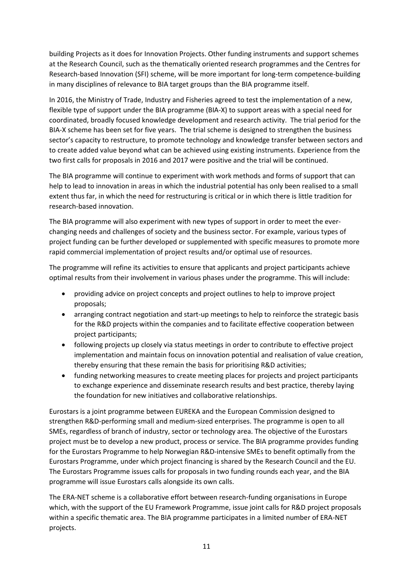building Projects as it does for Innovation Projects. Other funding instruments and support schemes at the Research Council, such as the thematically oriented research programmes and the Centres for Research-based Innovation (SFI) scheme, will be more important for long-term competence-building in many disciplines of relevance to BIA target groups than the BIA programme itself.

In 2016, the Ministry of Trade, Industry and Fisheries agreed to test the implementation of a new, flexible type of support under the BIA programme (BIA-X) to support areas with a special need for coordinated, broadly focused knowledge development and research activity. The trial period for the BIA-X scheme has been set for five years. The trial scheme is designed to strengthen the business sector's capacity to restructure, to promote technology and knowledge transfer between sectors and to create added value beyond what can be achieved using existing instruments. Experience from the two first calls for proposals in 2016 and 2017 were positive and the trial will be continued.

The BIA programme will continue to experiment with work methods and forms of support that can help to lead to innovation in areas in which the industrial potential has only been realised to a small extent thus far, in which the need for restructuring is critical or in which there is little tradition for research-based innovation.

The BIA programme will also experiment with new types of support in order to meet the everchanging needs and challenges of society and the business sector. For example, various types of project funding can be further developed or supplemented with specific measures to promote more rapid commercial implementation of project results and/or optimal use of resources.

The programme will refine its activities to ensure that applicants and project participants achieve optimal results from their involvement in various phases under the programme. This will include:

- providing advice on project concepts and project outlines to help to improve project proposals;
- arranging contract negotiation and start-up meetings to help to reinforce the strategic basis for the R&D projects within the companies and to facilitate effective cooperation between project participants;
- following projects up closely via status meetings in order to contribute to effective project implementation and maintain focus on innovation potential and realisation of value creation, thereby ensuring that these remain the basis for prioritising R&D activities;
- funding networking measures to create meeting places for projects and project participants to exchange experience and disseminate research results and best practice, thereby laying the foundation for new initiatives and collaborative relationships.

Eurostars is a joint programme between EUREKA and the European Commission designed to strengthen R&D-performing small and medium-sized enterprises. The programme is open to all SMEs, regardless of branch of industry, sector or technology area. The objective of the Eurostars project must be to develop a new product, process or service. The BIA programme provides funding for the Eurostars Programme to help Norwegian R&D-intensive SMEs to benefit optimally from the Eurostars Programme, under which project financing is shared by the Research Council and the EU. The Eurostars Programme issues calls for proposals in two funding rounds each year, and the BIA programme will issue Eurostars calls alongside its own calls.

The ERA-NET scheme is a collaborative effort between research-funding organisations in Europe which, with the support of the EU Framework Programme, issue joint calls for R&D project proposals within a specific thematic area. The BIA programme participates in a limited number of ERA-NET projects.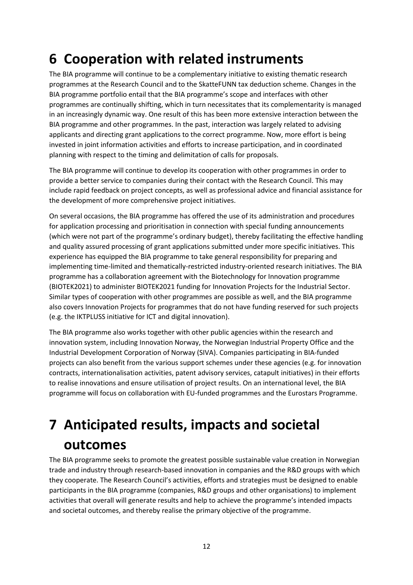### <span id="page-12-0"></span>**6 Cooperation with related instruments**

The BIA programme will continue to be a complementary initiative to existing thematic research programmes at the Research Council and to the SkatteFUNN tax deduction scheme. Changes in the BIA programme portfolio entail that the BIA programme's scope and interfaces with other programmes are continually shifting, which in turn necessitates that its complementarity is managed in an increasingly dynamic way. One result of this has been more extensive interaction between the BIA programme and other programmes. In the past, interaction was largely related to advising applicants and directing grant applications to the correct programme. Now, more effort is being invested in joint information activities and efforts to increase participation, and in coordinated planning with respect to the timing and delimitation of calls for proposals.

The BIA programme will continue to develop its cooperation with other programmes in order to provide a better service to companies during their contact with the Research Council. This may include rapid feedback on project concepts, as well as professional advice and financial assistance for the development of more comprehensive project initiatives.

On several occasions, the BIA programme has offered the use of its administration and procedures for application processing and prioritisation in connection with special funding announcements (which were not part of the programme's ordinary budget), thereby facilitating the effective handling and quality assured processing of grant applications submitted under more specific initiatives. This experience has equipped the BIA programme to take general responsibility for preparing and implementing time-limited and thematically-restricted industry-oriented research initiatives. The BIA programme has a collaboration agreement with the Biotechnology for Innovation programme (BIOTEK2021) to administer BIOTEK2021 funding for Innovation Projects for the Industrial Sector. Similar types of cooperation with other programmes are possible as well, and the BIA programme also covers Innovation Projects for programmes that do not have funding reserved for such projects (e.g. the IKTPLUSS initiative for ICT and digital innovation).

The BIA programme also works together with other public agencies within the research and innovation system, including Innovation Norway, the Norwegian Industrial Property Office and the Industrial Development Corporation of Norway (SIVA). Companies participating in BIA-funded projects can also benefit from the various support schemes under these agencies (e.g. for innovation contracts, internationalisation activities, patent advisory services, catapult initiatives) in their efforts to realise innovations and ensure utilisation of project results. On an international level, the BIA programme will focus on collaboration with EU-funded programmes and the Eurostars Programme.

# <span id="page-12-1"></span>**7 Anticipated results, impacts and societal outcomes**

The BIA programme seeks to promote the greatest possible sustainable value creation in Norwegian trade and industry through research-based innovation in companies and the R&D groups with which they cooperate. The Research Council's activities, efforts and strategies must be designed to enable participants in the BIA programme (companies, R&D groups and other organisations) to implement activities that overall will generate results and help to achieve the programme's intended impacts and societal outcomes, and thereby realise the primary objective of the programme.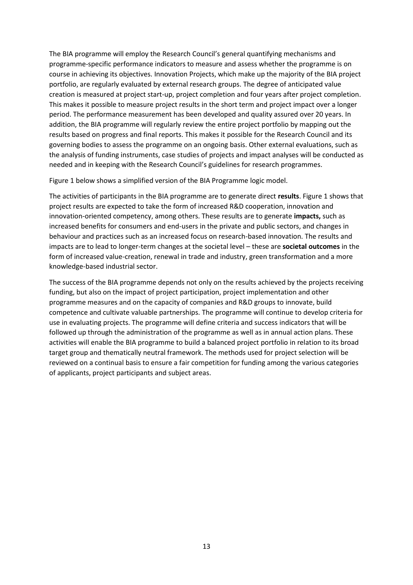The BIA programme will employ the Research Council's general quantifying mechanisms and programme-specific performance indicators to measure and assess whether the programme is on course in achieving its objectives. Innovation Projects, which make up the majority of the BIA project portfolio, are regularly evaluated by external research groups. The degree of anticipated value creation is measured at project start-up, project completion and four years after project completion. This makes it possible to measure project results in the short term and project impact over a longer period. The performance measurement has been developed and quality assured over 20 years. In addition, the BIA programme will regularly review the entire project portfolio by mapping out the results based on progress and final reports. This makes it possible for the Research Council and its governing bodies to assess the programme on an ongoing basis. Other external evaluations, such as the analysis of funding instruments, case studies of projects and impact analyses will be conducted as needed and in keeping with the Research Council's guidelines for research programmes.

Figure 1 below shows a simplified version of the BIA Programme logic model.

The activities of participants in the BIA programme are to generate direct **results**. Figure 1 shows that project results are expected to take the form of increased R&D cooperation, innovation and innovation-oriented competency, among others. These results are to generate **impacts,** such as increased benefits for consumers and end-users in the private and public sectors, and changes in behaviour and practices such as an increased focus on research-based innovation. The results and impacts are to lead to longer-term changes at the societal level – these are **societal outcomes** in the form of increased value-creation, renewal in trade and industry, green transformation and a more knowledge-based industrial sector.

The success of the BIA programme depends not only on the results achieved by the projects receiving funding, but also on the impact of project participation, project implementation and other programme measures and on the capacity of companies and R&D groups to innovate, build competence and cultivate valuable partnerships. The programme will continue to develop criteria for use in evaluating projects. The programme will define criteria and success indicators that will be followed up through the administration of the programme as well as in annual action plans. These activities will enable the BIA programme to build a balanced project portfolio in relation to its broad target group and thematically neutral framework. The methods used for project selection will be reviewed on a continual basis to ensure a fair competition for funding among the various categories of applicants, project participants and subject areas.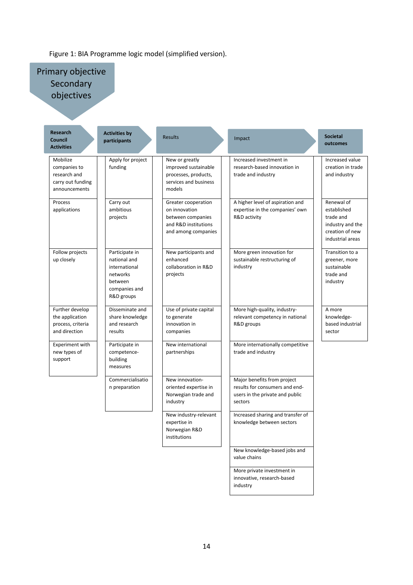#### Figure 1: BIA Programme logic model (simplified version).

Primary objective **Secondary** objectives

| Research<br><b>Council</b><br><b>Activities</b>                                | <b>Activities by</b><br>participants                                                                  | <b>Results</b>                                                                                           | Impact                                                                                                      | <b>Societal</b><br>outcomes                                                                       |
|--------------------------------------------------------------------------------|-------------------------------------------------------------------------------------------------------|----------------------------------------------------------------------------------------------------------|-------------------------------------------------------------------------------------------------------------|---------------------------------------------------------------------------------------------------|
| Mobilize<br>companies to<br>research and<br>carry out funding<br>announcements | Apply for project<br>funding                                                                          | New or greatly<br>improved sustainable<br>processes, products,<br>services and business<br>models        | Increased investment in<br>research-based innovation in<br>trade and industry                               | Increased value<br>creation in trade<br>and industry                                              |
| Process<br>applications                                                        | Carry out<br>ambitious<br>projects                                                                    | Greater cooperation<br>on innovation<br>between companies<br>and R&D institutions<br>and among companies | A higher level of aspiration and<br>expertise in the companies' own<br>R&D activity                         | Renewal of<br>established<br>trade and<br>industry and the<br>creation of new<br>industrial areas |
| Follow projects<br>up closely                                                  | Participate in<br>national and<br>international<br>networks<br>between<br>companies and<br>R&D groups | New participants and<br>enhanced<br>collaboration in R&D<br>projects                                     | More green innovation for<br>sustainable restructuring of<br>industry                                       | Transition to a<br>greener, more<br>sustainable<br>trade and<br>industry                          |
| Further develop<br>the application<br>process, criteria<br>and direction       | Disseminate and<br>share knowledge<br>and research<br>results                                         | Use of private capital<br>to generate<br>innovation in<br>companies                                      | More high-quality, industry-<br>relevant competency in national<br>R&D groups                               | A more<br>knowledge-<br>based industrial<br>sector                                                |
| Experiment with<br>new types of<br>support                                     | Participate in<br>competence-<br>building<br>measures                                                 | New international<br>partnerships                                                                        | More internationally competitive<br>trade and industry                                                      |                                                                                                   |
|                                                                                | Commercialisatio<br>n preparation                                                                     | New innovation-<br>oriented expertise in<br>Norwegian trade and<br>industry                              | Major benefits from project<br>results for consumers and end-<br>users in the private and public<br>sectors |                                                                                                   |
|                                                                                |                                                                                                       | New industry-relevant<br>expertise in<br>Norwegian R&D<br>institutions                                   | Increased sharing and transfer of<br>knowledge between sectors                                              |                                                                                                   |
|                                                                                |                                                                                                       |                                                                                                          | New knowledge-based jobs and<br>value chains                                                                |                                                                                                   |
|                                                                                |                                                                                                       |                                                                                                          | More private investment in<br>innovative, research-based                                                    |                                                                                                   |

industry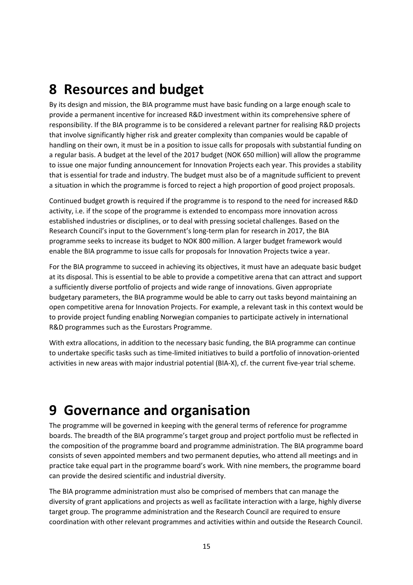### <span id="page-15-0"></span>**8 Resources and budget**

By its design and mission, the BIA programme must have basic funding on a large enough scale to provide a permanent incentive for increased R&D investment within its comprehensive sphere of responsibility. If the BIA programme is to be considered a relevant partner for realising R&D projects that involve significantly higher risk and greater complexity than companies would be capable of handling on their own, it must be in a position to issue calls for proposals with substantial funding on a regular basis. A budget at the level of the 2017 budget (NOK 650 million) will allow the programme to issue one major funding announcement for Innovation Projects each year. This provides a stability that is essential for trade and industry. The budget must also be of a magnitude sufficient to prevent a situation in which the programme is forced to reject a high proportion of good project proposals.

Continued budget growth is required if the programme is to respond to the need for increased R&D activity, i.e. if the scope of the programme is extended to encompass more innovation across established industries or disciplines, or to deal with pressing societal challenges. Based on the Research Council's input to the Government's long-term plan for research in 2017, the BIA programme seeks to increase its budget to NOK 800 million. A larger budget framework would enable the BIA programme to issue calls for proposals for Innovation Projects twice a year.

For the BIA programme to succeed in achieving its objectives, it must have an adequate basic budget at its disposal. This is essential to be able to provide a competitive arena that can attract and support a sufficiently diverse portfolio of projects and wide range of innovations. Given appropriate budgetary parameters, the BIA programme would be able to carry out tasks beyond maintaining an open competitive arena for Innovation Projects. For example, a relevant task in this context would be to provide project funding enabling Norwegian companies to participate actively in international R&D programmes such as the Eurostars Programme.

With extra allocations, in addition to the necessary basic funding, the BIA programme can continue to undertake specific tasks such as time-limited initiatives to build a portfolio of innovation-oriented activities in new areas with major industrial potential (BIA-X), cf. the current five-year trial scheme.

### <span id="page-15-1"></span>**9 Governance and organisation**

The programme will be governed in keeping with the general terms of reference for programme boards. The breadth of the BIA programme's target group and project portfolio must be reflected in the composition of the programme board and programme administration. The BIA programme board consists of seven appointed members and two permanent deputies, who attend all meetings and in practice take equal part in the programme board's work. With nine members, the programme board can provide the desired scientific and industrial diversity.

The BIA programme administration must also be comprised of members that can manage the diversity of grant applications and projects as well as facilitate interaction with a large, highly diverse target group. The programme administration and the Research Council are required to ensure coordination with other relevant programmes and activities within and outside the Research Council.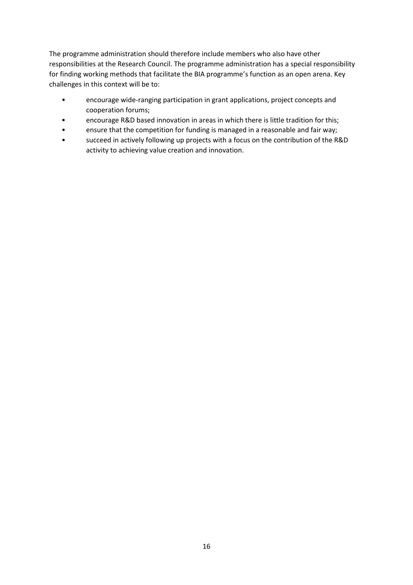The programme administration should therefore include members who also have other responsibilities at the Research Council. The programme administration has a special responsibility for finding working methods that facilitate the BIA programme's function as an open arena. Key challenges in this context will be to:

- encourage wide-ranging participation in grant applications, project concepts and cooperation forums;
- encourage R&D based innovation in areas in which there is little tradition for this;
- ensure that the competition for funding is managed in a reasonable and fair way;
- succeed in actively following up projects with a focus on the contribution of the R&D activity to achieving value creation and innovation.